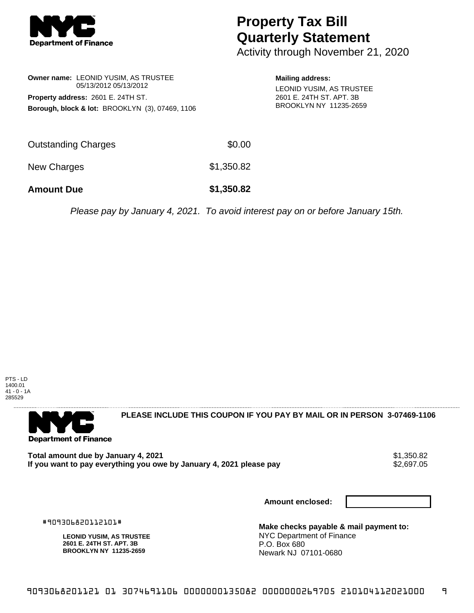

## **Property Tax Bill Quarterly Statement**

Activity through November 21, 2020

**Owner name:** LEONID YUSIM, AS TRUSTEE 05/13/2012 05/13/2012 **Property address:** 2601 E. 24TH ST. **Borough, block & lot:** BROOKLYN (3), 07469, 1106 **Mailing address:** LEONID YUSIM, AS TRUSTEE 2601 E. 24TH ST. APT. 3B BROOKLYN NY 11235-2659

| <b>Amount Due</b>   | \$1,350.82 |
|---------------------|------------|
| New Charges         | \$1,350.82 |
| Outstanding Charges | \$0.00     |

Please pay by January 4, 2021. To avoid interest pay on or before January 15th.



**Department of Finance** 

**PLEASE INCLUDE THIS COUPON IF YOU PAY BY MAIL OR IN PERSON 3-07469-1106** 

**Total amount due by January 4, 2021**<br>If you want to pay everything you owe by January 4, 2021 please pay **show that the set of the set of the s**2,697.05 If you want to pay everything you owe by January 4, 2021 please pay

**Amount enclosed:**

#909306820112101#

**LEONID YUSIM, AS TRUSTEE 2601 E. 24TH ST. APT. 3B BROOKLYN NY 11235-2659**

**Make checks payable & mail payment to:** NYC Department of Finance P.O. Box 680 Newark NJ 07101-0680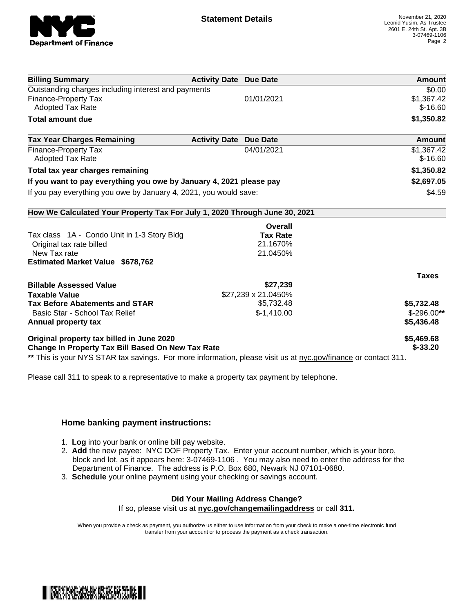

| <b>Billing Summary</b>                                                     | <b>Activity Date Due Date</b>           | Amount       |
|----------------------------------------------------------------------------|-----------------------------------------|--------------|
| Outstanding charges including interest and payments                        |                                         | \$0.00       |
| Finance-Property Tax                                                       | 01/01/2021                              | \$1,367.42   |
| <b>Adopted Tax Rate</b>                                                    |                                         | $$-16.60$    |
| <b>Total amount due</b>                                                    |                                         | \$1,350.82   |
| <b>Tax Year Charges Remaining</b>                                          | <b>Activity Date</b><br><b>Due Date</b> | Amount       |
| <b>Finance-Property Tax</b>                                                | 04/01/2021                              | \$1,367.42   |
| <b>Adopted Tax Rate</b>                                                    |                                         | $$-16.60$    |
| Total tax year charges remaining                                           |                                         | \$1,350.82   |
| If you want to pay everything you owe by January 4, 2021 please pay        |                                         | \$2,697.05   |
| If you pay everything you owe by January 4, 2021, you would save:          |                                         | \$4.59       |
| How We Calculated Your Property Tax For July 1, 2020 Through June 30, 2021 |                                         |              |
|                                                                            | Overall                                 |              |
| Tax class 1A - Condo Unit in 1-3 Story Bldg                                | <b>Tax Rate</b>                         |              |
| Original tax rate billed                                                   | 21.1670%                                |              |
| New Tax rate                                                               | 21.0450%                                |              |
| <b>Estimated Market Value \$678,762</b>                                    |                                         |              |
|                                                                            |                                         | <b>Taxes</b> |
| <b>Billable Assessed Value</b>                                             | \$27,239                                |              |
| <b>Taxable Value</b>                                                       | \$27,239 x 21.0450%                     |              |
| <b>Tax Before Abatements and STAR</b>                                      | \$5,732.48                              | \$5,732.48   |
| Basic Star - School Tax Relief                                             | $$-1,410.00$                            | $$-296.00**$ |
| Annual property tax                                                        |                                         | \$5,436.48   |
| Original property tax billed in June 2020                                  |                                         | \$5,469.68   |
| <b>Change In Property Tax Bill Based On New Tax Rate</b>                   |                                         | $$-33.20$    |

Please call 311 to speak to a representative to make a property tax payment by telephone.

## **Home banking payment instructions:**

- 1. **Log** into your bank or online bill pay website.
- 2. **Add** the new payee: NYC DOF Property Tax. Enter your account number, which is your boro, block and lot, as it appears here: 3-07469-1106 . You may also need to enter the address for the Department of Finance. The address is P.O. Box 680, Newark NJ 07101-0680.
- 3. **Schedule** your online payment using your checking or savings account.

## **Did Your Mailing Address Change?**

If so, please visit us at **nyc.gov/changemailingaddress** or call **311.**

When you provide a check as payment, you authorize us either to use information from your check to make a one-time electronic fund transfer from your account or to process the payment as a check transaction.